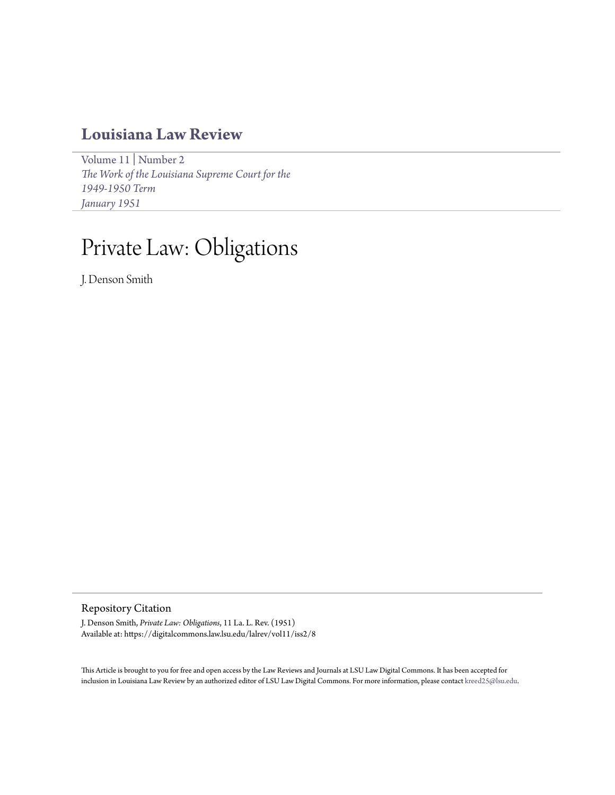# **[Louisiana Law Review](https://digitalcommons.law.lsu.edu/lalrev)**

[Volume 11](https://digitalcommons.law.lsu.edu/lalrev/vol11) | [Number 2](https://digitalcommons.law.lsu.edu/lalrev/vol11/iss2) *[The Work of the Louisiana Supreme Court for the](https://digitalcommons.law.lsu.edu/lalrev/vol11/iss2) [1949-1950 Term](https://digitalcommons.law.lsu.edu/lalrev/vol11/iss2) [January 1951](https://digitalcommons.law.lsu.edu/lalrev/vol11/iss2)*

# Private Law: Obligations

J. Denson Smith

## Repository Citation

J. Denson Smith, *Private Law: Obligations*, 11 La. L. Rev. (1951) Available at: https://digitalcommons.law.lsu.edu/lalrev/vol11/iss2/8

This Article is brought to you for free and open access by the Law Reviews and Journals at LSU Law Digital Commons. It has been accepted for inclusion in Louisiana Law Review by an authorized editor of LSU Law Digital Commons. For more information, please contact [kreed25@lsu.edu](mailto:kreed25@lsu.edu).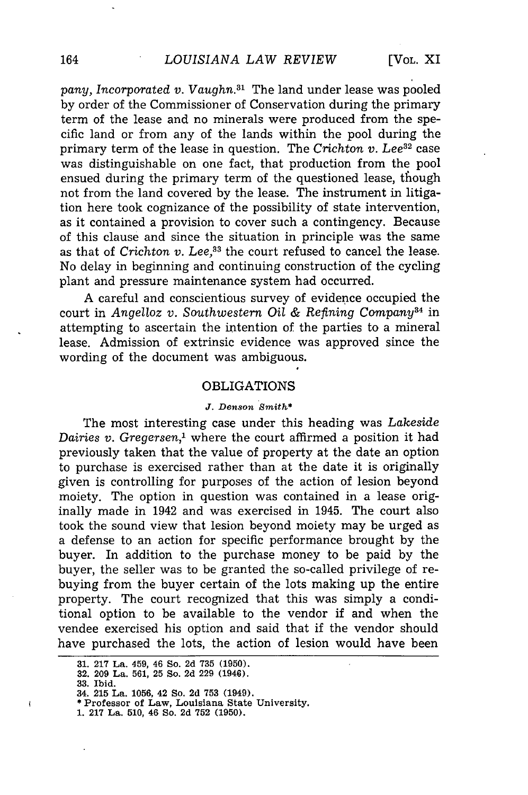pany, Incorporated v. Vaughn.<sup>31</sup> The land under lease was pooled by order of the Commissioner of Conservation during the primary term of the lease and no minerals were produced from the specific land or from any of the lands within the pool during the primary term of the lease in question. The *Crichton v. Lee*<sup>32</sup> case was distinguishable on one fact, that production from the pool ensued during the primary term of the questioned lease, though not from the land covered by the lease. The instrument in litigation here took cognizance of the possibility of state intervention, as it contained a provision to cover such a contingency. Because of this clause and since the situation in principle was the same as that of *Crichton v. Lee*,<sup>33</sup> the court refused to cancel the lease. No delay in beginning and continuing construction of the cycling plant and pressure maintenance system had occurred.

A careful and conscientious survey of evidence occupied the court in *Angelloz v. Southwestern* Oil *& Refining Company34* in attempting to ascertain the intention of the parties to a mineral lease. Admission of extrinsic evidence was approved since the wording of the document was ambiguous.

### OBLIGATIONS

#### **J.** *Denson Smith\**

The most interesting case under this heading was *Lakeside Dairies v. Gregersen,'* where the court affirmed a position it had previously taken that the value of property at the date an option to purchase is exercised rather than at the date it is originally given is controlling for purposes of the action of lesion beyond moiety. The option in question was contained in a lease originally made in 1942 and was exercised in 1945. The court also took the sound view that lesion beyond moiety may be urged as a defense to an action for specific performance brought by the buyer. In addition to the purchase money to be paid by the buyer, the seller was to be granted the so-called privilege of rebuying from the buyer certain of the lots making up the entire property. The court recognized that this was simply a conditional option to be available to the vendor if and when the vendee exercised his option and said that if the vendor should have purchased the lots, the action of lesion would have been

ł

**<sup>31. 217</sup>** La. 459, 46 So. **2d 735 (1950). 32. 209** La. **561, 25** So. **2d 229** (1946).

**<sup>33.</sup> Ibid.** 34. **215** La. **1056,** 42 So. **2d 753** (1949).

<sup>\*</sup> Professor of Law, Louisiana State University.

**<sup>1. 217</sup> La. 510,** 46 So. **2d 752 (1950).**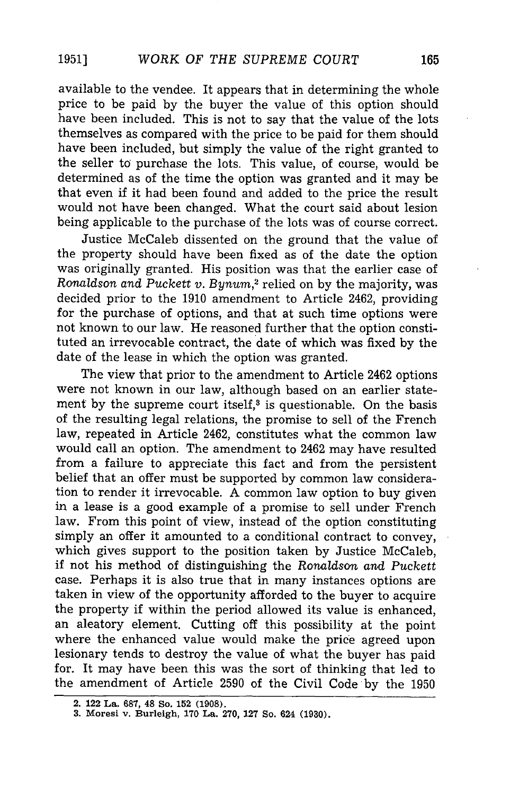available to the vendee. It appears that in determining the whole price to be paid by the buyer the value of this option should have been included. This is not to say that the value of the lots themselves as compared with the price to be paid for them should have been included, but simply the value of the right granted to the seller to purchase the lots. This value, of course, would be determined as of the time the option was granted and it may be that even if it had been found and added to the price the result would not have been changed. What the court said about lesion being applicable to the purchase of the lots was of course correct.

Justice McCaleb dissented on the ground that the value of the property should have been fixed as of the date the option was originally granted. His position was that the earlier case of *Ronaldson and Puckett v. Bynum,2* relied on by the majority, was decided prior to the 1910 amendment to Article 2462, providing for the purchase of options, and that at such time options were not known to our law. He reasoned further that the option constituted an irrevocable contract, the date of which was fixed by the date of the lease in which the option was granted.

The view that prior to the amendment to Article 2462 options were not known in our law, although based on an earlier statement by the supreme court itself, $3$  is questionable. On the basis of the resulting legal relations, the promise to sell of the French law, repeated in Article 2462, constitutes what the common law would call an option. The amendment to 2462 may have resulted from a failure to appreciate this fact and from the persistent belief that an offer must be supported by common law consideration to render it irrevocable. A common law option to buy given in a lease is a good example of a promise to sell under French law. From this point of view, instead of the option constituting simply an offer it amounted to a conditional contract to convey, which gives support to the position taken by Justice McCaleb, if not his method of distinguishing the *Ronaldson and Puckett* case. Perhaps it is also true that in many instances options are taken in view of the opportunity afforded to the buyer to acquire the property if within the period allowed its value is enhanced, an aleatory element. Cutting off this possibility at the point where the enhanced value would make the price agreed upon lesionary tends to destroy the value of what the buyer has paid for. It may have been this was the sort of thinking that led to the amendment of Article 2590 of the Civil Code by the 1950

**1951]**

**<sup>2. 122</sup> La. 687, 48 So. 152 (1908).**

**<sup>3.</sup> Moresi v. Burleigh, 170 La. 270, 127 So. 624 (1930).**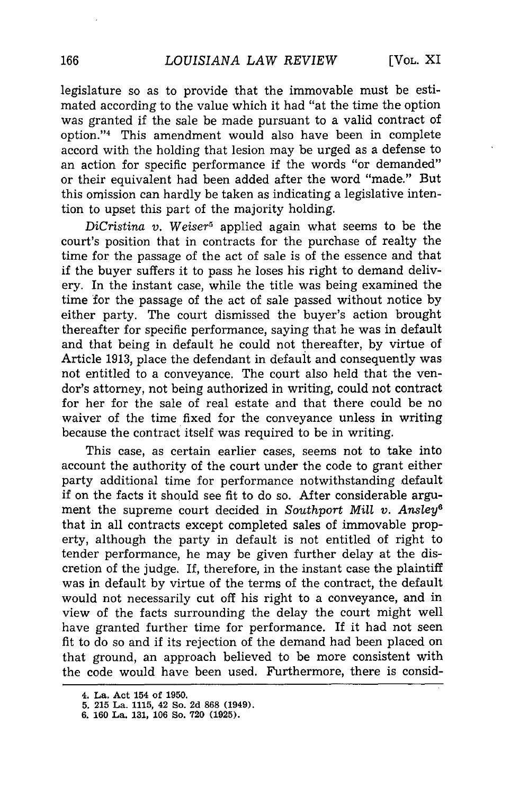legislature so as to provide that the immovable must be estimated according to the value which it had "at the time the option was granted if the sale be made pursuant to a valid contract of option."<sup>4</sup> This amendment would also have been in complete accord with the holding that lesion may be urged as a defense to an action for specific performance if the words "or demanded" or their equivalent had been added after the word "made." But this omission can hardly be taken as indicating a legislative intention to upset this part of the majority holding.

*DiCristina v. Weiser*<sup>5</sup> applied again what seems to be the court's position that in contracts for the purchase of realty the time for the passage of the act of sale is of the essence and that if the buyer suffers it to pass he loses his right to demand delivery. In the instant case, while the title was being examined the time for the passage of the act of sale passed without notice by either party. The court dismissed the buyer's action brought thereafter for specific performance, saying that he was in default and that being in default he could not thereafter, by virtue of Article 1913, place the defendant in default and consequently was not entitled to a conveyance. The court also held that the vendor's attorney, not being authorized in writing, could not contract for her for the sale of real estate and that there could be no waiver of the time fixed for the conveyance unless in writing because the contract itself was required to be in writing.

This case, as certain earlier cases, seems not to take into account the authority of the court under the code to grant either party additional time for performance notwithstanding default if on the facts it should see fit to do so. After considerable argument the supreme court decided in *Southport Mill* v. *Ansley* that in all contracts except completed sales of immovable property, although the party in default is not entitled of right to tender performance, he may be given further delay at the discretion of the judge. If, therefore, in the instant case the plaintiff was in default by virtue of the terms of the contract, the default would not necessarily cut off his right to a conveyance, and in view of the facts surrounding the delay the court might well have granted further time for performance. If it had not seen fit to do so and if its rejection of the demand had been placed on that ground, an approach believed to be more consistent with the code would have been used. Furthermore, there is consid-

**<sup>4.</sup> La. Act 154 of 1950.**

**<sup>5. 215</sup> La. 1115, 42 So. 2d 868 (1949). 6. 160 La. 131, 106 So. 720 (1925).**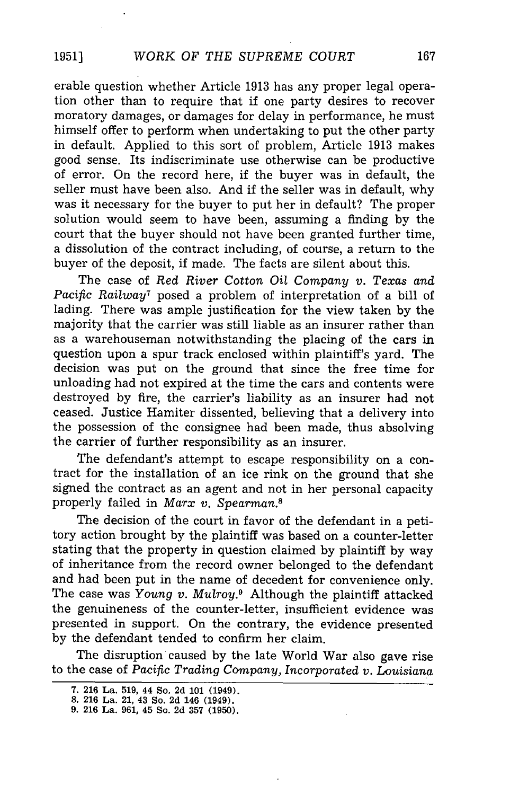erable question whether Article 1913 has any proper legal operation other than to require that if one party desires to recover moratory damages, or damages for delay in performance, he must himself offer to perform when undertaking to put the other party in default. Applied to this sort of problem, Article 1913 makes good sense. Its indiscriminate use otherwise can be productive of error. On the record here, if the buyer was in default, the seller must have been also. And if the seller was in default, why was it necessary for the buyer to put her in default? The proper solution would seem to have been, assuming a finding by the court that the buyer should not have been granted further time, a dissolution of the contract including, of course, a return to the buyer of the deposit, if made. The facts are silent about this.

The case of *Red River Cotton Oil Company v. Texas and Pacific Railway7* posed a problem of interpretation of a bill of lading. There was ample justification for the view taken by the majority that the carrier was still liable as an insurer rather than as a warehouseman notwithstanding the placing of the cars in question upon a spur track enclosed within plaintiff's yard. The decision was put on the ground that since the free time for unloading had not expired at the time the cars and contents were destroyed by fire, the carrier's liability as an insurer had not ceased. Justice Hamiter dissented, believing that a delivery into the possession of the consignee had been made, thus absolving the carrier of further responsibility as an insurer.

The defendant's attempt to escape responsibility on a contract for the installation of an ice rink on the ground that she signed the contract as an agent and not in her personal capacity properly failed in *Marx v. Spearman.8*

The decision of the court in favor of the defendant in a petitory action brought by the plaintiff was based on a counter-letter stating that the property in question claimed by plaintiff by way of inheritance from the record owner belonged to the defendant and had been put in the name of decedent for convenience only. The case was *Young v. Mulroy.9* Although the plaintiff attacked the genuineness of the counter-letter, insufficient evidence was presented in support. On the contrary, the evidence presented by the defendant tended to confirm her claim.

The disruption caused by the late World War also gave rise to the case of Pacific *Trading Company, Incorporated v. Louisiana*

**1951]**

**<sup>7. 216</sup>** La. **519,** 44 So. **2d 101** (1949). **8. 216** La. 21, 43 So. **2d** 146 (1949).

**<sup>9. 216</sup>** La. **961,** 45 So. **2d 357 (1950).**